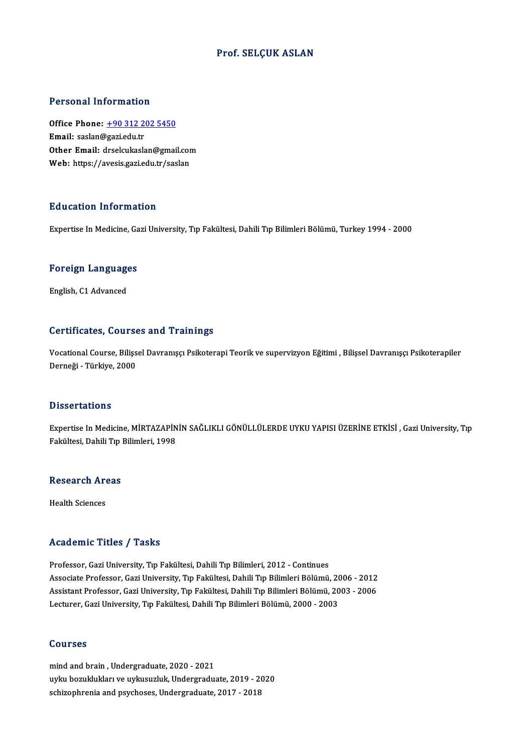#### Prof. SELÇUK ASLAN

#### Personal Information

Personal Information<br>Office Phone: <u>+90 312 202 5450</u><br>Email: saslan@sasi.edu.tr office Phone: <u>+90 312 2</u><br>Email: saslan@gazi.edu.tr<br>Other Email: dreekukask Office Phone: <u>+90 312 202 5450</u><br>Email: saslan@gazi.edu.tr<br>Other Email: [drselcukaslan@gmai](tel:+90 312 202 5450)l.com Email: saslan@gazi.edu.tr<br>Other Email: drselcukaslan@gmail.cor<br>Web: https://avesis.gazi.edu.tr/saslan Web: https://avesis.gazi.edu.tr/saslan<br>Education Information

Expertise In Medicine, Gazi University, Tıp Fakültesi, Dahili Tıp Bilimleri Bölümü, Turkey 1994 - 2000

## experuse in medicine, da<br>Foreign Languages <mark>Foreign Languag</mark>e<br>English, C1 Advanced

# English, C1 Advanced<br>Certificates, Courses and Trainings

Certificates, Courses and Trainings<br>Vocational Course, Bilişsel Davranışçı Psikoterapi Teorik ve supervizyon Eğitimi , Bilişsel Davranışçı Psikoterapiler<br>Derneği - Türkiye 2000 der erregteer, deuret<br>Vocational Course, Bilişs<br>Derneği - Türkiye, 2000 Derneği - Türkiye, 2000<br>Dissertations

Dissertations<br>Expertise In Medicine, MİRTAZAPİNİN SAĞLIKLI GÖNÜLLÜLERDE UYKU YAPISI ÜZERİNE ETKİSİ , Gazi University, Tıp<br>Fekültesi, Dabili Tıp Bilimleri, 1998 Basser tatrons<br>Expertise In Medicine, MİRTAZAPİN<br>Fakültesi, Dahili Tıp Bilimleri, 1998

## rakuitesi, Daniil Tip ,<br>Research Areas R<mark>esearch Ar</mark><br>Health Sciences

# Academic Titles / Tasks

Professor, Gazi University, Tıp Fakültesi, Dahili Tıp Bilimleri, 2012 - Continues Associate Professor, Gazi University, Tıp Fakültesi, Dahili Tıp Bilimleri Bölümü, 2006 - 2012 Professor, Gazi University, Tıp Fakültesi, Dahili Tıp Bilimleri, 2012 - Continues<br>Associate Professor, Gazi University, Tıp Fakültesi, Dahili Tıp Bilimleri Bölümü, 2006 - 2012<br>Assistant Professor, Gazi University, Tıp Fakü Associate Professor, Gazi University, Tıp Fakültesi, Dahili Tıp Bilimleri Bölümü, 20<br>Assistant Professor, Gazi University, Tıp Fakültesi, Dahili Tıp Bilimleri Bölümü, 20<br>Lecturer, Gazi University, Tıp Fakültesi, Dahili Tıp Lecturer, Gazi University, Tıp Fakültesi, Dahili Tıp Bilimleri Bölümü, 2000 - 2003<br>Courses

mind and brain,Undergraduate,2020 -2021 uyku bozuklukları ve uykusuzluk, Undergraduate, 2019 - 2020 schizophrenia and psychoses, Undergraduate, 2017 - 2018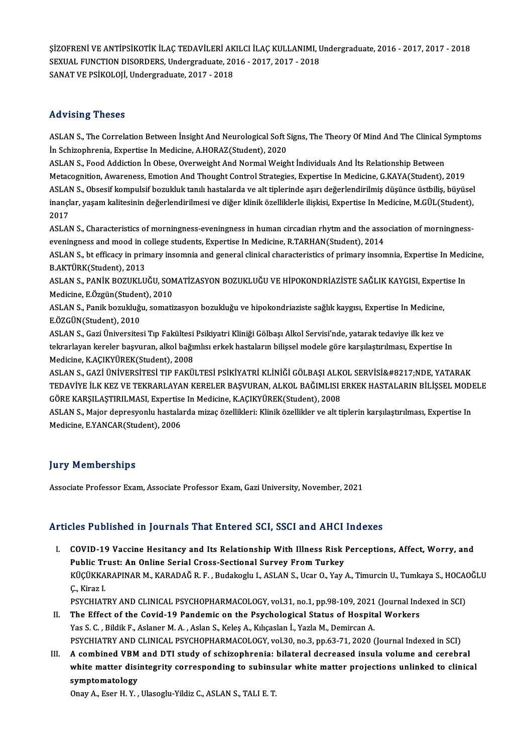ŞİZOFRENİ VE ANTİPSİKOTİK İLAÇ TEDAVİLERİ AKILCI İLAÇ KULLANIMI, Undergraduate, 2016 - 2017, 2017 - 2018<br>SEYLLAL EUNCTION DISORDERS, Undergraduate, 2016 - 2017, 2017, 2018 SİZOFRENİ VE ANTİPSİKOTİK İLAÇ TEDAVİLERİ AKILCI İLAÇ KULLANIMI, L<br>SEXUAL FUNCTION DISORDERS, Undergraduate, 2016 - 2017, 2017 - 2018<br>SANAT VE PSİKOLOJİ, Undergraduate, 2017, -2019 SEXUAL FUNCTION DISORDERS, Undergraduate, 2016 - 2017, 2017 - 2018<br>SANAT VE PSİKOLOJİ, Undergraduate, 2017 - 2018

### Advising Theses

Advising Theses<br>ASLAN S., The Correlation Between İnsight And Neurological Soft Signs, The Theory Of Mind And The Clinical Symptoms<br>In Schirophrenia, Evnertise In Medisine, A HOP 47(Student), 2020 IST FISTER<br>ASLAN S., The Correlation Between Insight And Neurological Soft S<br>In Schizophrenia, Expertise In Medicine, A.HORAZ(Student), 2020<br>ASLAN S., Ecod Addiction In Obese, Querweight And Neurol Weigh ASLAN S., The Correlation Between Insight And Neurological Soft Signs, The Theory Of Mind And The Clinical S<br>In Schizophrenia, Expertise In Medicine, A.HORAZ(Student), 2020<br>ASLAN S., Food Addiction In Obese, Overweight And

İn Schizophrenia, Expertise In Medicine, A.HORAZ(Student), 2020<br>ASLAN S., Food Addiction İn Obese, Overweight And Normal Weight İndividuals And İts Relationship Between<br>Metacognition, Awareness, Emotion And Thought Control ASLAN S., Food Addiction İn Obese, Overweight And Normal Weight İndividuals And İts Relationship Between<br>Metacognition, Awareness, Emotion And Thought Control Strategies, Expertise In Medicine, G.KAYA(Student), 2019<br>ASLAN Metacognition, Awareness, Emotion And Thought Control Strategies, Expertise In Medicine, G.KAYA(Student), 2019<br>ASLAN S., Obsesif kompulsif bozukluk tanılı hastalarda ve alt tiplerinde aşırı değerlendirilmiş düşünce üstbili ASLAI<br>inançl<br>2017<br>ASLAI inançlar, yaşam kalitesinin değerlendirilmesi ve diğer klinik özelliklerle ilişkisi, Expertise In Medicine, M.GÜL(Student),<br>2017<br>ASLAN S., Characteristics of morningness-eveningness in human circadian rhytm and the associa

ASLAN S., Characteristics of morningness-eveningness in human circadian rhytm and the association of morningness-ASLAN S., Characteristics of morningness-eveningness in human circadian rhytm and the association of morningness-<br>eveningness and mood in college students, Expertise In Medicine, R.TARHAN(Student), 2014<br>ASLAN S., bt effica

eveningness and mood in c<br>ASLAN S., bt efficacy in prin<br>B.AKTÜRK(Student), 2013<br>ASLAN S., BANİK BOZUKLU ASLAN S., bt efficacy in primary insomnia and general clinical characteristics of primary insomnia, Expertise In Medi<br>B.AKTÜRK(Student), 2013<br>ASLAN S., PANİK BOZUKLUĞU, SOMATİZASYON BOZUKLUĞU VE HİPOKONDRİAZİSTE SAĞLIK KAY

B.AKTÜRK(Student), 2013<br>ASLAN S., PANİK BOZUKLUĞU, SON<br>Medicine, E.Özgün(Student), 2010<br>ASLAN S., Banik bozukluğu, somati ASLAN S., PANİK BOZUKLUĞU, SOMATİZASYON BOZUKLUĞU VE HİPOKONDRİAZİSTE SAĞLIK KAYGISI, Expert<br>Medicine, E.Özgün(Student), 2010<br>ASLAN S., Panik bozukluğu, somatizasyon bozukluğu ve hipokondriaziste sağlık kaygısı, Expertise

Medicine, E.Özgün(Studen<br>ASLAN S., Panik bozukluğı<br>E.ÖZGÜN(Student), 2010<br>ASLAN S., Cari Üniversites ASLAN S., Panik bozukluğu, somatizasyon bozukluğu ve hipokondriaziste sağlık kaygısı, Expertise In Medicine,<br>E.ÖZGÜN(Student), 2010<br>ASLAN S., Gazi Üniversitesi Tıp Fakültesi Psikiyatri Kliniği Gölbaşı Alkol Servisi'nde, ya

E.ÖZGÜN(Student), 2010<br>ASLAN S., Gazi Üniversitesi Tıp Fakültesi Psikiyatri Kliniği Gölbaşı Alkol Servisi'nde, yatarak tedaviye ilk kez ve<br>tekrarlayan kereler başvuran, alkol bağımlısı erkek hastaların bilişsel modele göre ASLAN S., Gazi Üniversitesi Tıp Fakültesi<br>tekrarlayan kereler başvuran, alkol bağı<br>Medicine, K.AÇIKYÜREK(Student), 2008<br>ASLAN S. GAZİ ÜNİVERSİTESİ TIR FAKÜL tekrarlayan kereler başvuran, alkol bağımlısı erkek hastaların bilişsel modele göre karşılaştırılması, Expertise In<br>Medicine, K.AÇIKYÜREK(Student), 2008<br>ASLAN S., GAZİ ÜNİVERSİTESİ TIP FAKÜLTESİ PSİKİYATRİ KLİNİĞİ GÖLBAŞI

Medicine, K.AÇIKYÜREK(Student), 2008<br>ASLAN S., GAZİ ÜNİVERSİTESİ TIP FAKÜLTESİ PSİKİYATRİ KLİNİĞİ GÖLBAŞI ALKOL SERVİSİ&#8217;NDE, YATARAK<br>TEDAVİYE İLK KEZ VE TEKRARLAYAN KERELER BAŞVURAN, ALKOL BAĞIMLISI ERKEK HASTALARIN ASLAN S., GAZİ ÜNİVERSİTESİ TIP FAKÜLTESİ PSİKİYATRİ KLİNİĞİ GÖLBAŞI ALK<br>TEDAVİYE İLK KEZ VE TEKRARLAYAN KERELER BAŞVURAN, ALKOL BAĞIMLISI I<br>GÖRE KARŞILAŞTIRILMASI, Expertise In Medicine, K.AÇIKYÜREK(Student), 2008<br>ASLAN S TEDAVİYE İLK KEZ VE TEKRARLAYAN KERELER BAŞVURAN, ALKOL BAĞIMLISI ERKEK HASTALARIN BİLİŞSEL MODI<br>GÖRE KARŞILAŞTIRILMASI, Expertise In Medicine, K.AÇIKYÜREK(Student), 2008<br>ASLAN S., Major depresyonlu hastalarda mizaç özelli

GÖRE KARŞILAŞTIRILMASI, Expertise In Medicine, K.AÇIKYÜREK(Student), 2008<br>ASLAN S., Major depresyonlu hastalarda mizaç özellikleri: Klinik özellikler ve alt tiplerin karşılaştırılması, Expertise In<br>Medicine, E.YANCAR(Stude

## **Jury Memberships**

Associate Professor Exam, Associate Professor Exam, Gazi University, November, 2021

### Articles Published in Journals That Entered SCI, SSCI and AHCI Indexes

I. COVID-19 Vaccine Hesitancy and Its Relationship With Illness Risk Perceptions, Affect, Worry, and Public Trusticular Hesitancy and Its Relationship With Illness Risk<br>Public Trust: An Online Serial Cross-Sectional Survey From Turkey<br>Public Trust: An Online Serial Cross-Sectional Survey From Turkey KÜÇÜKKARAPINAR M., KARADAĞ R. F. , Budakoglu I., ASLAN S., Ucar O., Yay A., Timurcin U., Tumkaya S., HOCAOĞLU<br>Ç., Kiraz I. **Public Tr<br>KÜÇÜKKA<br>Ç., Kiraz I.<br>PSYCHIAT** KÜÇÜKKARAPINAR M., KARADAĞ R. F. , Budakoglu I., ASLAN S., Ucar O., Yay A., Timurcin U., Tumkaya S., HOCA(<br>Ç., Kiraz I.<br>PSYCHIATRY AND CLINICAL PSYCHOPHARMACOLOGY, vol.31, no.1, pp.98-109, 2021 (Journal Indexed in SCI)<br>The C., Kiraz I.<br>PSYCHIATRY AND CLINICAL PSYCHOPHARMACOLOGY, vol.31, no.1, pp.98-109, 2021 (Journal Ind<br>II. The Effect of the Covid-19 Pandemic on the Psychological Status of Hospital Workers<br>Nee S. G. Bildik E. Aslans M.A., A

- PSYCHIATRY AND CLINICAL PSYCHOPHARMACOLOGY, vol.31, no.1, pp.98-109, 2021<br>The Effect of the Covid-19 Pandemic on the Psychological Status of Hospita<br>Yas S. C. , Bildik F., Aslaner M. A. , Aslan S., Keleş A., Kılıçaslan İ., The Effect of the Covid-19 Pandemic on the Psychological Status of Hospital Workers<br>Yas S. C. , Bildik F., Aslaner M. A. , Aslan S., Keleş A., Kılıçaslan İ., Yazla M., Demircan A.<br>PSYCHIATRY AND CLINICAL PSYCHOPHARMACOLOGY Yas S. C. , Bildik F., Aslaner M. A. , Aslan S., Keleş A., Kılıçaslan İ., Yazla M., Demircan A.<br>PSYCHIATRY AND CLINICAL PSYCHOPHARMACOLOGY, vol.30, no.3, pp.63-71, 2020 (Journal Indexed in SCI)<br>III. A combined VBM and DTI
- PSYCHIATRY AND CLINICAL PSYCHOPHARMACOLOGY, vol.30, no.3, pp.63-71, 2020 (Journal Indexed in SCI)<br>A combined VBM and DTI study of schizophrenia: bilateral decreased insula volume and cerebral<br>white matter disintegrity corr III. A combined VBM and DTI study of schizophrenia: bilateral decreased insula volume and cerebral white matter disintegrity corresponding to subinsular white matter projections unlinked to clinical symptomatology

Onay A., Eser H.Y., Ulasoglu-Yildiz C., ASLAN S., TALI E.T.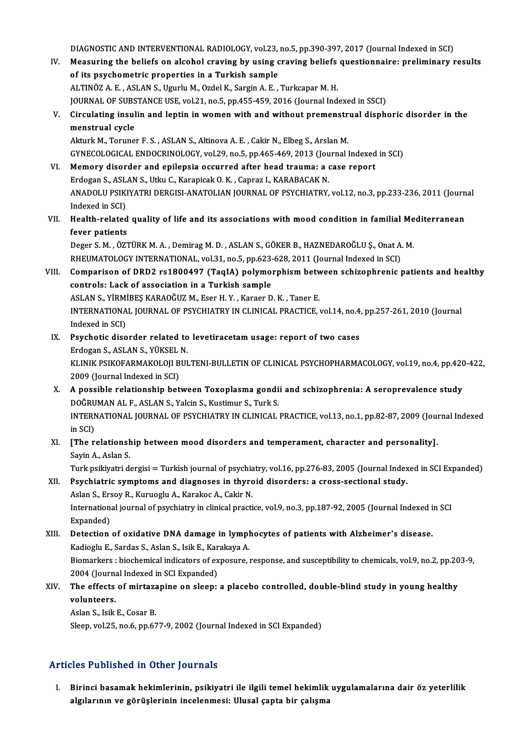- DIAGNOSTIC AND INTERVENTIONAL RADIOLOGY, vol.23, no.5, pp.390-397, 2017 (Journal Indexed in SCI)<br>Measuring the beliefs on algebal grouing by using enouing beliefs questionnaire: preliminery y DIAGNOSTIC AND INTERVENTIONAL RADIOLOGY, vol.23, no.5, pp.390-397, 2017 (Journal Indexed in SCI)<br>IV. Measuring the beliefs on alcohol craving by using craving beliefs questionnaire: preliminary results DIAGNOSTIC AND INTERVENTIONAL RADIOLOGY, vol.23,<br>Measuring the beliefs on alcohol craving by using cof its psychometric properties in a Turkish sample<br>ALTINÖZA E ASLAN S Hauslu M Ordel K, Sargin A E IV. Measuring the beliefs on alcohol craving by using craving beliefs questionnaire: preliminary results of its psychometric properties in a Turkish sample<br>ALTINÖZ A. E. , ASLAN S., Ugurlu M., Ozdel K., Sargin A. E. , Turk of its psychometric properties in a Turkish sample<br>ALTINÖZ A. E. , ASLAN S., Ugurlu M., Ozdel K., Sargin A. E. , Turkcapar M. H.<br>JOURNAL OF SUBSTANCE USE, vol.21, no.5, pp.455-459, 2016 (Journal Indexed in SSCI)<br>Circulatin ALTINÖZ A. E. , ASLAN S., Ugurlu M., Ozdel K., Sargin A. E. , Turkcapar M. H.<br>JOURNAL OF SUBSTANCE USE, vol.21, no.5, pp.455-459, 2016 (Journal Indexed in SSCI)<br>V. Circulating insulin and leptin in women with and without p **JOURNAL OF SUBS<br>Circulating insul<br>menstrual cycle** Circulating insulin and leptin in women with and without premenstr<br>menstrual cycle<br>Akturk M., Toruner F.S., ASLAN S., Altinova A.E., Cakir N., Elbeg S., Arslan M.<br>CYNECOLOGICAL ENDOCEINOLOGY vel 29 no 5 nn 465, 469, 2012 ( menstrual cycle<br>Akturk M., Toruner F. S. , ASLAN S., Altinova A. E. , Cakir N., Elbeg S., Arslan M.<br>GYNECOLOGICAL ENDOCRINOLOGY, vol.29, no.5, pp.465-469, 2013 (Journal Indexed in SCI) Akturk M., Toruner F. S., ASLAN S., Altinova A. E., Cakir N., Elbeg S., Arslan M.<br>GYNECOLOGICAL ENDOCRINOLOGY, vol.29, no.5, pp.465-469, 2013 (Journal Indexed<br>VI. Memory disorder and epilepsia occurred after head trauma: a GYNECOLOGICAL ENDOCRINOLOGY, vol.29, no.5, pp.465-469, 2013 (Jou<br>Memory disorder and epilepsia occurred after head trauma: a of<br>Erdogan S., ASLAN S., Utku C., Karapicak O. K. , Capraz I., KARABACAK N.<br>ANADOLU PSIKIVATELDER ANADOLU PSIKIYATRI DERGISI-ANATOLIAN JOURNAL OF PSYCHIATRY, vol.12, no.3, pp.233-236, 2011 (Journal Indexed in SCI) Erdogan S., ASLAN S., Utku C., Karapicak O. K., Capraz I., KARABACAK N. ANADOLU PSIKIYATRI DERGISI-ANATOLIAN JOURNAL OF PSYCHIATRY, vol.12, no.3, pp.233-236, 2011 (Journ<br>Indexed in SCI)<br>VII. Health-related quality of life and its associations with mood condition in familial Mediterranean<br>fover Indexed in SCI)<br>Health-related<br>fever patients<br>Deser S.M. Ö<sup>77</sup> Health-related quality of life and its associations with mood condition in familial Me<br>fever patients<br>Deger S.M., ÖZTÜRK M.A., Demirag M.D., ASLAN S., GÖKER B., HAZNEDAROĞLU Ş., Onat A. M.<br>RHEUMATOLOGY INTERNATIONAL .vol 2 fever patients<br>Deger S. M. , ÖZTÜRK M. A. , Demirag M. D. , ASLAN S., GÖKER B., HAZNEDAROĞLU Ş., Onat A. M.<br>RHEUMATOLOGY INTERNATIONAL, vol.31, no.5, pp.623-628, 2011 (Journal Indexed in SCI) Deger S. M. , ÖZTÜRK M. A. , Demirag M. D. , ASLAN S., GÖKER B., HAZNEDAROĞLU Ş., Onat A. M.<br>RHEUMATOLOGY INTERNATIONAL, vol.31, no.5, pp.623-628, 2011 (Journal Indexed in SCI)<br>VIII. Comparison of DRD2 rs1800497 (TaqIA) po RHEUMATOLOGY INTERNATIONAL, vol.31, no.5, pp.623-<br>Comparison of DRD2 rs1800497 (TaqIA) polymo:<br>controls: Lack of association in a Turkish sample<br>ASLANS, VIBMIBES KARAQČUZ M. Egen H. V., Kangar D Comparison of DRD2 rs1800497 (TaqIA) polymorphism betw<br>controls: Lack of association in a Turkish sample<br>ASLAN S., YİRMİBEŞ KARAOĞUZ M., Eser H. Y. , Karaer D. K. , Taner E.<br>INTERNATIONAL JOURNAL OF REVCHIATRY IN CLINICAL controls: Lack of association in a Turkish sample<br>ASLAN S., YİRMİBEŞ KARAOĞUZ M., Eser H. Y. , Karaer D. K. , Taner E.<br>INTERNATIONAL JOURNAL OF PSYCHIATRY IN CLINICAL PRACTICE, vol.14, no.4, pp.257-261, 2010 (Journal<br>Index ASLAN S., YİRMİBEŞ KARAOĞUZ M., Eser H.Y., Karaer D.K., Taner E. INTERNATIONAL JOURNAL OF PSYCHIATRY IN CLINICAL PRACTICE, vol.14, no.4<br>Indexed in SCI)<br>IX. Psychotic disorder related to levetiracetam usage: report of two cases<br>Friedgen S. ASI AN S. VIIKSEL N Indexed in SCI)<br><mark>Psychotic disorder related to</mark><br>Erdogan S., ASLAN S., YÜKSEL N.<br>KLINIK RSIKOFARMAKOLOU RUI Psychotic disorder related to levetiracetam usage: report of two cases<br>Erdogan S., ASLAN S., YÜKSEL N.<br>KLINIK PSIKOFARMAKOLOJI BULTENI-BULLETIN OF CLINICAL PSYCHOPHARMACOLOGY, vol.19, no.4, pp.420-422,<br>2009 (Jaurnal Indoxe Erdogan S., ASLAN S., YÜKSEL<br>KLINIK PSIKOFARMAKOLOJI B<br>2009 (Journal Indexed in SCI)<br>A nossible relationship bet KLINIK PSIKOFARMAKOLOJI BULTENI-BULLETIN OF CLINICAL PSYCHOPHARMACOLOGY, vol.19, no.4, pp.420<br>2009 (Journal Indexed in SCI)<br>X. A possible relationship between Toxoplasma gondii and schizophrenia: A seroprevalence study<br>DOČ 2009 (Journal Indexed in SCI)<br>A possible relationship between Toxoplasma gondi<br>DOĞRUMAN AL F., ASLAN S., Yalcin S., Kustimur S., Turk S.<br>INTERNATIONAL JOURNAL OF RSYCHIATRY IN GLINICAL A possible relationship between Toxoplasma gondii and schizophrenia: A seroprevalence study<br>DOĞRUMAN AL F., ASLAN S., Yalcin S., Kustimur S., Turk S.<br>INTERNATIONAL JOURNAL OF PSYCHIATRY IN CLINICAL PRACTICE, vol.13, no.1, DOĞRU<br>INTERN<br>in SCI)<br>IThe r INTERNATIONAL JOURNAL OF PSYCHIATRY IN CLINICAL PRACTICE, vol.13, no.1, pp.82-87, 2009 (Journal In SCI)<br>XI. [The relationship between mood disorders and temperament, character and personality].<br>Savin A. Aslan S in SCI)<br>XI. [The relationship between mood disorders and temperament, character and personality].<br>Sayin A., Aslan S. [The relationship between mood disorders and temperament, character and personality].<br>Sayin A., Aslan S.<br>Turk psikiyatri dergisi = Turkish journal of psychiatry, vol.16, pp.276-83, 2005 (Journal Indexed in SCI Expanded)<br>Pa Sayin A., Aslan S.<br>Turk psikiyatri dergisi = Turkish journal of psychiatry, vol.16, pp.276-83, 2005 (Journal Index<br>XII. Psychiatric symptoms and diagnoses in thyroid disorders: a cross-sectional study.<br>Aslan S. Freev B. K Turk psikiyatri dergisi = Turkish journal of psychia<br>Psychiatric symptoms and diagnoses in thyrc<br>Aslan S., Ersoy R., Kuruoglu A., Karakoc A., Cakir N.<br>International journal of psychiatry in clinical presti XII. Psychiatric symptoms and diagnoses in thyroid disorders: a cross-sectional study.<br>Aslan S., Ersoy R., Kuruoglu A., Karakoc A., Cakir N.<br>International journal of psychiatry in clinical practice, vol.9, no.3, pp.187-92, Aslan S., Ersoy R., Kuruoglu A., Karakoc A., Cakir N. International journal of psychiatry in clinical practice, vol.9, no.3, pp.187-92, 2005 (Journal Indexed i<br>Expanded)<br>XIII. Detection of oxidative DNA damage in lymphocytes of patients with Alzheimer's disease. Expanded)<br>Detection of oxidative DNA damage in lympl<br>Kadioglu E., Sardas S., Aslan S., Isik E., Karakaya A.<br>Piamarkars : bioshamical indicatars of aynosure Biomarkers : biochemical indicators of exposure, response, and susceptibility to chemicals, vol.9, no.2, pp.203-9,<br>2004 (Journal Indexed in SCI Expanded) Kadioglu E., Sardas S., Aslan S., Isik E., Karakaya A.
- Biomarkers : biochemical indicators of exposure, response, and susceptibility to chemicals, vol.9, no.2, pp.20<br>2004 (Journal Indexed in SCI Expanded)<br>XIV. The effects of mirtazapine on sleep: a placebo controlled, double-b 2004 (Journa<br>The effects<br>volunteers. The effects of mirtaza<br>volunteers.<br>Aslan S., Isik E., Cosar B.<br>Sleep vol 25, no 6, np 67

volunteers.<br>Aslan S., Isik E., Cosar B.<br>Sleep, vol.25, no.6, pp.677-9, 2002 (Journal Indexed in SCI Expanded)

## Articles Published in Other Journals

I. Birinci basamak hekimlerinin, psikiyatri ile ilgili temel hekimlik uygulamalarına dair öz yeterlilik<br>I. Birinci basamak hekimlerinin, psikiyatri ile ilgili temel hekimlik uygulamalarına dair öz yeterlilik<br>Akılarının ve algılarının ve görüş yolu haları<br>Birinci basamak hekimlerinin, psikiyatri ile ilgili temel hekimlik<br>algılarının ve görüşlerinin incelenmesi: Ulusal çapta bir çalışma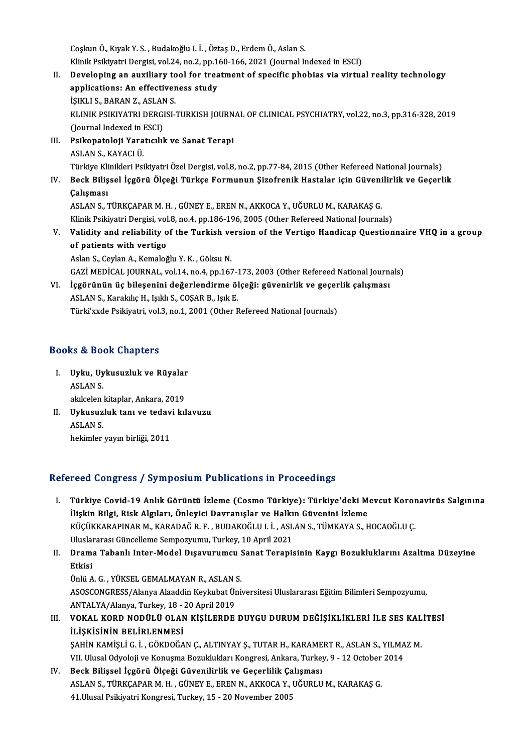CoşkunÖ.,KıyakY.S. ,Budakoğlu I. İ. ,ÖztaşD.,ErdemÖ.,AslanS. Coşkun Ö., Kıyak Y. S. , Budakoğlu I. İ. , Öztaş D., Erdem Ö., Aslan S.<br>Klinik Psikiyatri Dergisi, vol.24, no.2, pp.160-166, 2021 (Journal Indexed in ESCI)<br>Povelening en euvilieny tool for treatment of enecifis phobise via

- Coşkun Ö., Kıyak Y. S. , Budakoğlu I. İ. , Öztaş D., Erdem Ö., Aslan S.<br>Klinik Psikiyatri Dergisi, vol.24, no.2, pp.160-166, 2021 (Journal Indexed in ESCI)<br>II. Developing an auxiliary tool for treatment of specific pho Klinik Psikiyatri Dergisi, vol.24, no.2, pp.1<br>Developing an auxiliary tool for trea<br>applications: An effectiveness study<br>iSIKULS PARANZ ASLANS **Developing an auxiliary to<br>applications: An effectiver<br>İŞIKLI S., BARAN Z., ASLAN S.<br>ELINIK PSIKIYATRI DERCISI** applications: An effectiveness study<br>İŞIKLI S., BARAN Z., ASLAN S.<br>KLINIK PSIKIYATRI DERGISI-TURKISH JOURNAL OF CLINICAL PSYCHIATRY, vol.22, no.3, pp.316-328, 2019<br>(Journal Indoved in ESCL) İŞIKLI S., BARAN Z., ASLAN<br>KLINIK PSIKIYATRI DERGI<br>(Journal Indexed in ESCI)<br>Psikonatoloji Yaratısılı KLINIK PSIKIYATRI DERGISI-TURKISH JOURN<br>(Journal Indexed in ESCI)<br>III. Psikopatoloji Yaratıcılık ve Sanat Terapi
- (Journal Indexed in ESCI)<br>III. Psikopatoloji Yaratıcılık ve Sanat Terapi<br>ASLAN S., KAYACI Ü. Psikopatoloji Yaratıcılık ve Sanat Terapi<br>ASLAN S., KAYACI Ü.<br>Türkiye Klinikleri Psikiyatri Özel Dergisi, vol.8, no.2, pp.77-84, 2015 (Other Refereed National Journals)<br>Resk Bilissel İsgörü Ölseği Türkse Formunun Sizefreni ASLAN S., KAYACI Ü.<br>Türkiye Klinikleri Psikiyatri Özel Dergisi, vol.8, no.2, pp.77-84, 2015 (Other Refereed National Journals)<br>IV. Beck Bilişsel İçgörü Ölçeği Türkçe Formunun Şizofrenik Hastalar için Güvenilirlik ve Ge
- Türkiye Kli<br>Beck Biliş<br>Çalışması<br>ASLAN S Beck Bilişsel İçgörü Ölçeği Türkçe Formunun Şizofrenik Hastalar için Güveni<br>Çalışması<br>ASLAN S., TÜRKÇAPAR M. H. , GÜNEY E., EREN N., AKKOCA Y., UĞURLU M., KARAKAŞ G.<br>Klinik Peikiyatri Dergisi vel 9, no.4, nn 196, 196, 2005 Çalışması<br>ASLAN S., TÜRKÇAPAR M. H. , GÜNEY E., EREN N., AKKOCA Y., UĞURLU M., KARAKAŞ G.<br>Klinik Psikiyatri Dergisi, vol.8, no.4, pp.186-196, 2005 (Other Refereed National Journals)<br>Volidity and reliability of the Turkish ASLAN S., TÜRKÇAPAR M. H. , GÜNEY E., EREN N., AKKOCA Y., UĞURLU M., KARAKAŞ G.<br>Klinik Psikiyatri Dergisi, vol.8, no.4, pp.186-196, 2005 (Other Refereed National Journals)<br>V. Validity and reliability of the Turkish ver Klinik Psikiyatri Dergisi, vol<br>Validity and reliability of<br>of patients with vertigo

Validity and reliability of the Turkish ve<br>of patients with vertigo<br>Aslan S., Ceylan A., Kemaloğlu Y.K. , Göksu N.<br>CAZİ MEDİCAL JOUPNAL, vel 14 no 4 nn 165 of patients with vertigo<br>Aslan S., Ceylan A., Kemaloğlu Y. K. , Göksu N.<br>GAZİ MEDİCAL JOURNAL, vol.14, no.4, pp.167-173, 2003 (Other Refereed National Journals) Aslan S., Ceylan A., Kemaloğlu Y. K. , Göksu N.<br>GAZİ MEDİCAL JOURNAL, vol.14, no.4, pp.167-173, 2003 (Other Refereed National Journa<br>VI. İçgörünün üç bileşenini değerlendirme ölçeği: güvenirlik ve geçerlik çalışması<br>ASLAN

GAZİ MEDİCAL JOURNAL, vol.14, no.4, pp.167-1<br>İçgörünün üç bileşenini değerlendirme öl<br>ASLAN S., Karakılıç H., Işıklı S., COŞAR B., Işık E.<br>Türkizude Belkiyatri vol.2 no.1, 2001 (Other L İçgörünün üç bileşenini değerlendirme ölçeği: güvenirlik ve geçer<br>ASLAN S., Karakılıç H., Işıklı S., COŞAR B., Işık E.<br>Türki'xxde Psikiyatri, vol.3, no.1, 2001 (Other Refereed National Journals) Türki'xxde Psikiyatri, vol.3, no.1, 2001 (Other Refereed National Journals)<br>Books & Book Chapters

- I. Uyku, Uykusuzluk ve Rüyalar March 2016<br>Uyku, Uy<br>ASLAN S. Uyku, Uykusuzluk ve Rüyalar<br>ASLAN S.<br>akılcelen kitaplar, Ankara, 2019<br>Hykusuzluk tanı ve tedevi kıl ASLAN S.<br>akılcelen kitaplar, Ankara, 2019<br>II. Uykusuzluk tanı ve tedavi kılavuzu<br>ASLAN S. akılcelen kitaplar, Ankara, 2019
- hekimler yayın birliği, 2011

## Refereed Congress / Symposium Publications in Proceedings

- efereed Congress / Symposium Publications in Proceedings<br>I. Türkiye Covid-19 Anlık Görüntü İzleme (Cosmo Türkiye): Türkiye'deki Mevcut Koronavirüs Salgınına<br>İlişkin Bilgi, Bick Algıları, Önlevisi Devrenıslar ve Halkın Güye İlişkin Bilgi, Cost / Symposium i usilculudin in i i sosoulings<br>Türkiye Covid-19 Anlık Görüntü İzleme (Cosmo Türkiye): Türkiye'deki M<br>İlişkin Bilgi, Risk Algıları, Önleyici Davranışlar ve Halkın Güvenini İzleme<br>Küçükkanapı Türkiye Covid-19 Anlık Görüntü İzleme (Cosmo Türkiye): Türkiye'deki Mevcut Koror<br>İlişkin Bilgi, Risk Algıları, Önleyici Davranışlar ve Halkın Güvenini İzleme<br>KÜÇÜKKARAPINAR M., KARADAĞ R. F. , BUDAKOĞLU I. İ. , ASLAN S., T İlişkin Bilgi, Risk Algıları, Önleyici Davranışlar ve Halkın Güvenini İzleme<br>KÜÇÜKKARAPINAR M., KARADAĞ R. F. , BUDAKOĞLU I. İ. , ASLAN S., TÜMKAYA S., HOCAOĞLU Ç.<br>Uluslararası Güncelleme Sempozyumu, Turkey, 10 April 2021 KÜÇÜKKARAPINAR M., KARADAĞ R. F. , BUDAKOĞLU I. İ. , ASLAN S., TÜMKAYA S., HOCAOĞLU Ç.<br>Uluslararası Güncelleme Sempozyumu, Turkey, 10 April 2021<br>II. Drama Tabanlı Inter-Model Dışavurumcu Sanat Terapisinin Kaygı Bozuklu
- Uluslai<br><mark>Dram:</mark><br>Etkisi<br>Ürlü A Drama Tabanlı Inter-Model Dışavurumcu !<br>Etkisi<br>Ünlü A. G. , YÜKSEL GEMALMAYAN R., ASLAN S.<br>ASOSCONCRESS (Alanya Alaaddin Kaylubat Üni

Etkisi<br>Ünlü A. G. , YÜKSEL GEMALMAYAN R., ASLAN S.<br>ASOSCONGRESS/Alanya Alaaddin Keykubat Üniversitesi Uluslararası Eğitim Bilimleri Sempozyumu,<br>ANTALVA (Alanya Turkey, 19., 20 Anril 2019 Ünlü A. G. , YÜKSEL GEMALMAYAN R., ASLAN :<br>ASOSCONGRESS/Alanya Alaaddin Keykubat Ür<br>ANTALYA/Alanya, Turkey, 18 - 20 April 2019<br>VOKAL KORD NODÜLÜ OLAN KİSİLERDE

ASOSCONGRESS/Alanya Alaaddin Keykubat Üniversitesi Uluslararası Eğitim Bilimleri Sempozyumu,<br>ANTALYA/Alanya, Turkey, 18 - 20 April 2019<br>III. VOKAL KORD NODÜLÜ OLAN KİŞİLERDE DUYGU DURUM DEĞİŞİKLİKLERİ İLE SES KALİTESİ<br> ANTALYA/Alanya, Turkey, 18 - 20 April 2019<br>III. VOKAL KORD NODÜLÜ OLAN KİŞİLERDE DUYGU DURUM DEĞİŞİKLİKLERİ İLE SES KALİTESİ<br>İLİSKİSİNİN BELİRLENMESİ VOKAL KORD NODÜLÜ OLAN KİŞİLERDE DUYGU DURUM DEĞİŞİKLİKLERİ İLE SES KAL<br>İLİŞKİSİNİN BELİRLENMESİ<br>ŞAHİN KAMİŞLİ G. İ., GÖKDOĞAN Ç., ALTINYAY Ş., TUTAR H., KARAMERT R., ASLAN S., YILMAZ M.<br>VILHI'ndel Odveleji ve Kenyeme Besu

İLİŞKİSİNİN BELİRLENMESİ<br>ŞAHİN KAMİŞLİ G. İ. , GÖKDOĞAN Ç., ALTINYAY Ş., TUTAR H., KARAMERT R., ASLAN S., YILMA<br>VII. Ulusal Odyoloji ve Konuşma Bozuklukları Kongresi, Ankara, Turkey, 9 - 12 October 2014<br>Bosk Bilissel İsgön

SAHİN KAMİŞLİ G. İ. , GÖKDOĞAN Ç., ALTINYAY Ş., TUTAR H., KARAME<br>VII. Ulusal Odyoloji ve Konuşma Bozuklukları Kongresi, Ankara, Turkey<br>IV. Beck Bilişsel İçgörü Ölçeği Güvenilirlik ve Geçerlilik Çalışması<br>ASLAN S. TÜRKCARAR VII. Ulusal Odyoloji ve Konuşma Bozuklukları Kongresi, Ankara, Turkey, 9 - 12 October 2014<br>IV. Beck Bilişsel İçgörü Ölçeği Güvenilirlik ve Geçerlilik Çalışması<br>ASLAN S., TÜRKÇAPAR M. H. , GÜNEY E., EREN N., AKKOCA Y., 41. Ulusal Psikiyatri Kongresi, Turkey, 15 - 20 November 2005